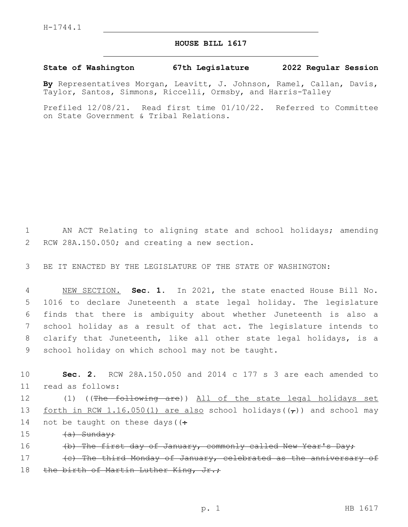## **HOUSE BILL 1617**

## **State of Washington 67th Legislature 2022 Regular Session**

**By** Representatives Morgan, Leavitt, J. Johnson, Ramel, Callan, Davis, Taylor, Santos, Simmons, Riccelli, Ormsby, and Harris-Talley

Prefiled 12/08/21. Read first time 01/10/22. Referred to Committee on State Government & Tribal Relations.

1 AN ACT Relating to aligning state and school holidays; amending 2 RCW 28A.150.050; and creating a new section.

3 BE IT ENACTED BY THE LEGISLATURE OF THE STATE OF WASHINGTON:

 NEW SECTION. **Sec. 1.** In 2021, the state enacted House Bill No. 1016 to declare Juneteenth a state legal holiday. The legislature finds that there is ambiguity about whether Juneteenth is also a school holiday as a result of that act. The legislature intends to clarify that Juneteenth, like all other state legal holidays, is a school holiday on which school may not be taught.

10 **Sec. 2.** RCW 28A.150.050 and 2014 c 177 s 3 are each amended to read as follows:11 12 (1) ((<del>The following are</del>)) All of the state legal holidays set

13 forth in RCW 1.16.050(1) are also school holidays( $(\tau)$ ) and school may 14 not be taught on these days ( $($ .

- 15 <del>(a) Sunday;</del>
- 16 (b) The first day of January, commonly called New Year's Day;

17 (c) The third Monday of January, celebrated as the anniversary of 18 the birth of Martin Luther King, Jr.;